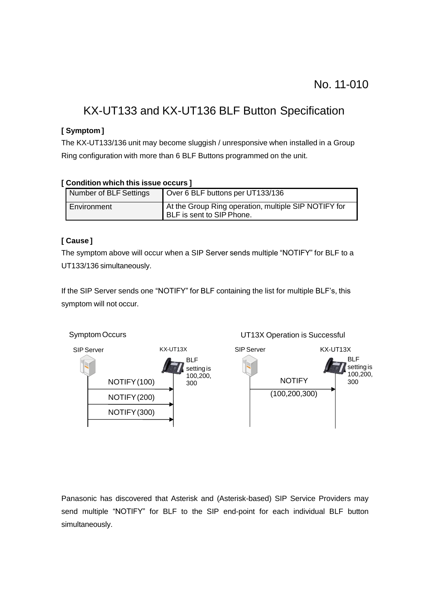# KX-UT133 and KX-UT136 BLF Button Specification

### **[ Symptom ]**

The KX-UT133/136 unit may become sluggish / unresponsive when installed in a Group Ring configuration with more than 6 BLF Buttons programmed on the unit.

#### **[ Condition which this issue occurs ]**

| Number of BLF Settings | Over 6 BLF buttons per UT133/136                                                           |
|------------------------|--------------------------------------------------------------------------------------------|
| Environment            | At the Group Ring operation, multiple SIP NOTIFY for<br><b>I</b> BLF is sent to SIP Phone. |

## **[ Cause ]**

The symptom above will occur when a SIP Server sends multiple "NOTIFY" for BLF to a UT133/136 simultaneously.

If the SIP Server sends one "NOTIFY" for BLF containing the list for multiple BLF's, this symptom will not occur.



Panasonic has discovered that Asterisk and (Asterisk-based) SIP Service Providers may send multiple "NOTIFY" for BLF to the SIP end-point for each individual BLF button simultaneously.